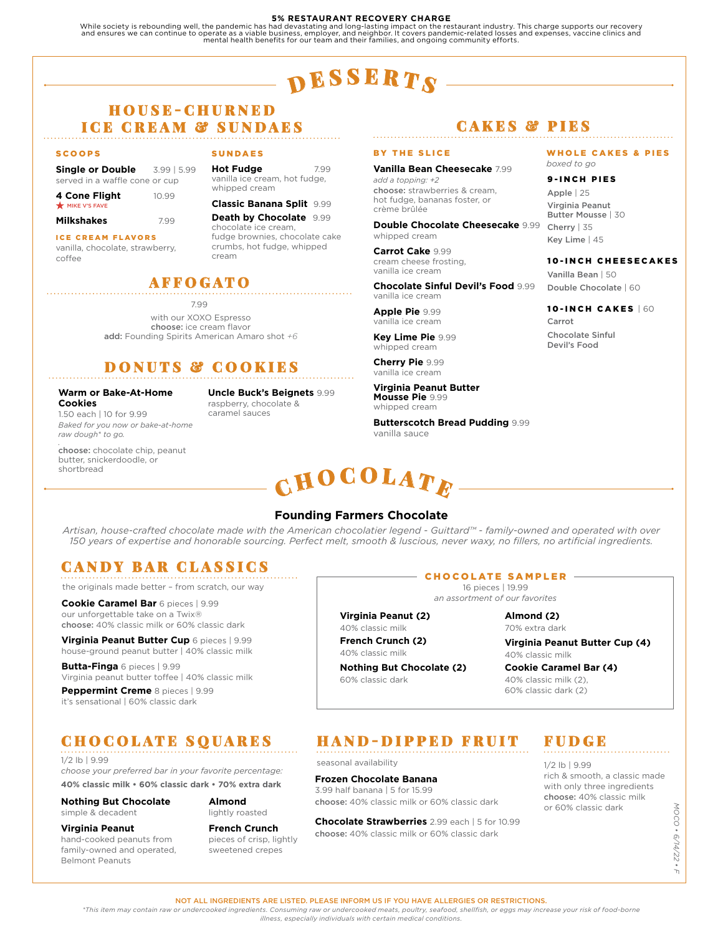#### **5% RESTAURANT RECOVERY CHARGE**

While society is rebounding well, the pandemic has had devastating and long-lasting impact on the restaurant industry. This charge supports our recovery<br>and ensures we can continue to operate as a viable business, employer

# $\mathbf{p}$  esserts

## H O U S E - C H U R N E D **ICE CREAM & SUNDAES**

#### SCOOPS

**Single or Double** 3.99 | 5.99 served in a waffle cone or cup

| 4 Cone Flight | 10.99 |
|---------------|-------|
| MIKE V'S FAVE |       |

| Milkshakes<br>7.99 |  |
|--------------------|--|
|--------------------|--|

ICE CREAM FLAVORS

vanilla, chocolate, strawberry, coffee

#### SUNDAES

**Hot Fudge** 7.99 vanilla ice cream, hot fudge, whipped cream

#### **Classic Banana Split** 9.99

**Death by Chocolate** 9.99 chocolate ice cream, fudge brownies, chocolate cake crumbs, hot fudge, whipped cream

## AFFOGATO

7.99

with our XOXO Espresso choose: ice cream flavor add: Founding Spirits American Amaro shot *+6*

# DONUTS & COOKIES

#### **Warm or Bake-At-Home Cookies**

1.50 each | 10 for 9.99 *Baked for you now or bake-at-home raw dough\* to go.*

raspberry, chocolate & caramel sauces

#### *.* choose: chocolate chip, peanut butter, snickerdoodle, or shortbread

**Uncle Buck's Beignets** 9.99

# CAKES & PIES

#### BY THE SLICE

**Vanilla Bean Cheesecake** 7.99 *add a topping: +2* choose: strawberries & cream, hot fudge, bananas foster, or crème brûlée

**Double Chocolate Cheesecake** 9.99 whipped cream

**Carrot Cake** 9.99 cream cheese frosting, vanilla ice cream

**Chocolate Sinful Devil's Food** 9.99 vanilla ice cream

**Apple Pie** 9.99 vanilla ice cream

**Key Lime Pie** 9.99 whipped cream

**Cherry Pie** 9.99 vanilla ice cream

**Virginia Peanut Butter Mousse Pie** 9.99 whipped cream

**Butterscotch Bread Pudding** 9.99 vanilla sauce

# ${\bf \mathop{C}HOCOLAT}_{E}$

### **Founding Farmers Chocolate**

*Artisan, house-crafted chocolate made with the American chocolatier legend - Guittard™ - family-owned and operated with over 150 years of expertise and honorable sourcing. Perfect melt, smooth & luscious, never waxy, no fillers, no artificial ingredients.*

# CANDY BAR CLASSICS

the originals made better – from scratch, our way

**Cookie Caramel Bar** 6 pieces | 9.99 our unforgettable take on a Twix® choose: 40% classic milk or 60% classic dark

**Virginia Peanut Butter Cup** 6 pieces | 9.99 house-ground peanut butter | 40% classic milk

**Butta-Finga** 6 pieces | 9.99 Virginia peanut butter toffee | 40% classic milk

**Peppermint Creme** 8 pieces | 9.99 it's sensational | 60% classic dark

# CHOCOLATE SQUARES

1/2 lb | 9.99 *choose your preferred bar in your favorite percentage:* **40% classic milk • 60% classic dark • 70% extra dark**

**Nothing But Chocolate** simple & decadent

**Virginia Peanut** hand-cooked peanuts from family-owned and operated,

Belmont Peanuts

**Almond**  lightly roasted

#### **French Crunch** pieces of crisp, lightly sweetened crepes

# **Frozen Chocolate Banana**

choose: 40% classic milk or 60% classic dark

**Chocolate Strawberries** 2.99 each | 5 for 10.99 choose: 40% classic milk or 60% classic dark

# WHOLE CAKES & PIES

*boxed to go*

#### 9-INCH PIES

Apple | 25 Virginia Peanut Butter Mousse | 30 Cherry | 35 Key Lime | 45

#### 10-INCH CHEESECAKES

Vanilla Bean | 50 Double Chocolate | 60

#### 10-INCH CAKES | 60 Carrot Chocolate Sinful Devil's Food

CHOCOLATE SAMPLER

*an assortment of our favorites*

**Virginia Peanut (2)**

40% classic milk

60% classic dark

70% extra dark

**Virginia Peanut Butter Cup (4)**

# HAND-DIPPED FRUIT

seasonal availability

3.99 half banana | 5 for 15.99

# FUDGE

1/2 lb | 9.99 rich & smooth, a classic made with only three ingredients choose: 40% classic milk or 60% classic dark

NOCO · 6/14/22 · *MOCO • 6/14/22 • F*  $\top$ 

NOT ALL INGREDIENTS ARE LISTED. PLEASE INFORM US IF YOU HAVE ALLERGIES OR RESTRICTIONS. *\*This item may contain raw or undercooked ingredients. Consuming raw or undercooked meats, poultry, seafood, shellfish, or eggs may increase your risk of food-borne* 

*illness, especially individuals with certain medical conditions.*

40% classic milk

**French Crunch (2)**

**Nothing But Chocolate (2)** 

**Almond (2)**

40% classic milk

**Cookie Caramel Bar (4)** 40% classic milk (2), 60% classic dark (2)

16 pieces | 19.99